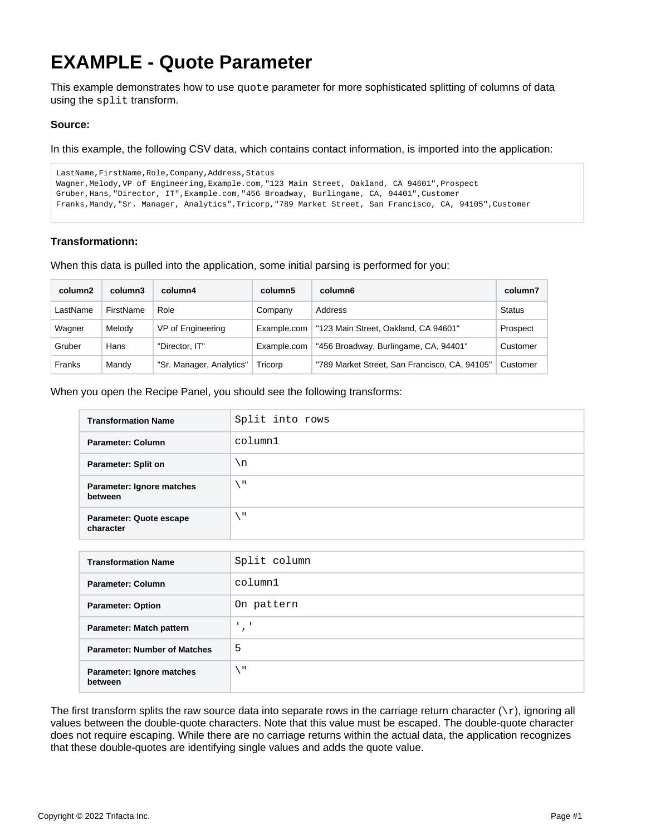## **EXAMPLE - Quote Parameter**

This example demonstrates how to use quote parameter for more sophisticated splitting of columns of data using the split transform.

## **Source:**

In this example, the following CSV data, which contains contact information, is imported into the application:

```
LastName, FirstName, Role, Company, Address, Status
Wagner,Melody,VP of Engineering,Example.com,"123 Main Street, Oakland, CA 94601",Prospect
Gruber,Hans,"Director, IT",Example.com,"456 Broadway, Burlingame, CA, 94401",Customer
Franks,Mandy,"Sr. Manager, Analytics",Tricorp,"789 Market Street, San Francisco, CA, 94105",Customer
```
## **Transformationn:**

When this data is pulled into the application, some initial parsing is performed for you:

| column <sub>2</sub> | column3   | column4                  | column5     | column6                                       | column7       |
|---------------------|-----------|--------------------------|-------------|-----------------------------------------------|---------------|
| LastName            | FirstName | Role                     | Company     | Address                                       | <b>Status</b> |
| Wagner              | Melody    | VP of Engineering        | Example.com | "123 Main Street, Oakland, CA 94601"          | Prospect      |
| Gruber              | Hans      | "Director. IT"           | Example.com | "456 Broadway, Burlingame, CA, 94401"         | Customer      |
| Franks              | Mandy     | "Sr. Manager, Analytics" | Tricorp     | "789 Market Street, San Francisco, CA, 94105" | Customer      |

When you open the Recipe Panel, you should see the following transforms:

| <b>Transformation Name</b>           | Split into rows |
|--------------------------------------|-----------------|
| Parameter: Column                    | column1         |
| Parameter: Split on                  | ۱n              |
| Parameter: Ignore matches<br>between | $\mathbf{u}$    |
| Parameter: Quote escape<br>character | $\mathbf{H}$    |
|                                      |                 |
| <b>Transformation Name</b>           | Split column    |

| <b>Transformation Name</b>           | Split column |
|--------------------------------------|--------------|
| Parameter: Column                    | column1      |
| <b>Parameter: Option</b>             | On pattern   |
| Parameter: Match pattern             |              |
| <b>Parameter: Number of Matches</b>  | 5            |
| Parameter: Ignore matches<br>between | χH.          |

The first transform splits the raw source data into separate rows in the carriage return character  $(\nabla x)$ , ignoring all values between the double-quote characters. Note that this value must be escaped. The double-quote character does not require escaping. While there are no carriage returns within the actual data, the application recognizes that these double-quotes are identifying single values and adds the quote value.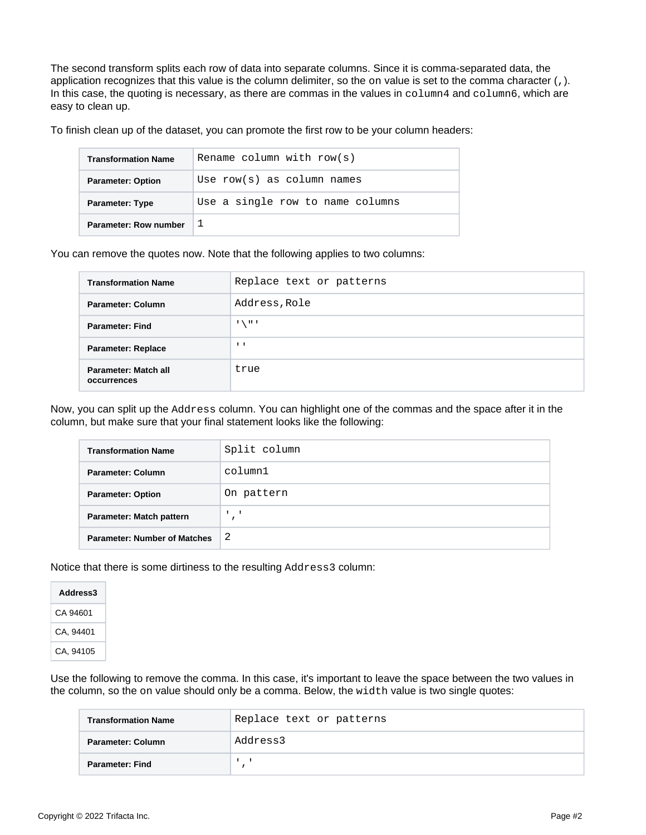The second transform splits each row of data into separate columns. Since it is comma-separated data, the application recognizes that this value is the column delimiter, so the on value is set to the comma character (,). In this case, the quoting is necessary, as there are commas in the values in column4 and column6, which are easy to clean up.

To finish clean up of the dataset, you can promote the first row to be your column headers:

| <b>Transformation Name</b> | Rename column with $row(s)$      |
|----------------------------|----------------------------------|
| <b>Parameter: Option</b>   | Use $row(s)$ as column names     |
| <b>Parameter: Type</b>     | Use a single row to name columns |
| Parameter: Row number      |                                  |

You can remove the quotes now. Note that the following applies to two columns:

| <b>Transformation Name</b>          | Replace text or patterns |
|-------------------------------------|--------------------------|
| Parameter: Column                   | Address, Role            |
| <b>Parameter: Find</b>              | $\sum$ II 1              |
| <b>Parameter: Replace</b>           | $\mathbf{1}$             |
| Parameter: Match all<br>occurrences | true                     |

Now, you can split up the Address column. You can highlight one of the commas and the space after it in the column, but make sure that your final statement looks like the following:

| <b>Transformation Name</b>          | Split column |
|-------------------------------------|--------------|
| <b>Parameter: Column</b>            | column1      |
| <b>Parameter: Option</b>            | On pattern   |
| Parameter: Match pattern            |              |
| <b>Parameter: Number of Matches</b> | -2           |

Notice that there is some dirtiness to the resulting Address3 column:

| Address3  |  |  |  |  |
|-----------|--|--|--|--|
| CA 94601  |  |  |  |  |
| CA, 94401 |  |  |  |  |
| CA, 94105 |  |  |  |  |

Use the following to remove the comma. In this case, it's important to leave the space between the two values in the column, so the on value should only be a comma. Below, the width value is two single quotes:

| <b>Transformation Name</b> | Replace text or patterns |
|----------------------------|--------------------------|
| Parameter: Column          | Address3                 |
| Parameter: Find            |                          |